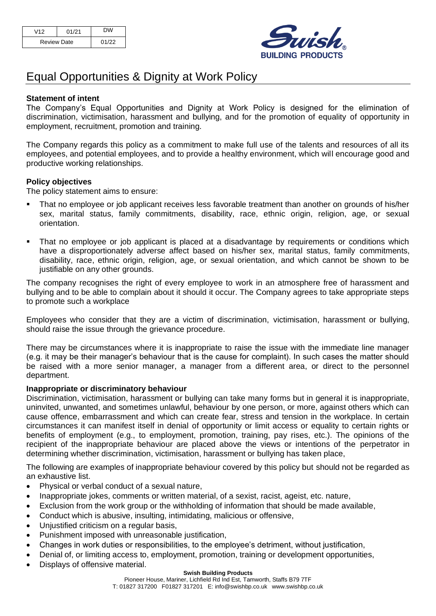| V12                | 01/21 |       |
|--------------------|-------|-------|
| <b>Review Date</b> |       | 01/22 |



# Equal Opportunities & Dignity at Work Policy

# **Statement of intent**

The Company's Equal Opportunities and Dignity at Work Policy is designed for the elimination of discrimination, victimisation, harassment and bullying, and for the promotion of equality of opportunity in employment, recruitment, promotion and training.

The Company regards this policy as a commitment to make full use of the talents and resources of all its employees, and potential employees, and to provide a healthy environment, which will encourage good and productive working relationships.

## **Policy objectives**

The policy statement aims to ensure:

- That no employee or job applicant receives less favorable treatment than another on grounds of his/her sex, marital status, family commitments, disability, race, ethnic origin, religion, age, or sexual orientation.
- **•** That no employee or job applicant is placed at a disadvantage by requirements or conditions which have a disproportionately adverse affect based on his/her sex, marital status, family commitments, disability, race, ethnic origin, religion, age, or sexual orientation, and which cannot be shown to be justifiable on any other grounds.

The company recognises the right of every employee to work in an atmosphere free of harassment and bullying and to be able to complain about it should it occur. The Company agrees to take appropriate steps to promote such a workplace

Employees who consider that they are a victim of discrimination, victimisation, harassment or bullying, should raise the issue through the grievance procedure.

There may be circumstances where it is inappropriate to raise the issue with the immediate line manager (e.g. it may be their manager's behaviour that is the cause for complaint). In such cases the matter should be raised with a more senior manager, a manager from a different area, or direct to the personnel department.

#### **Inappropriate or discriminatory behaviour**

Discrimination, victimisation, harassment or bullying can take many forms but in general it is inappropriate, uninvited, unwanted, and sometimes unlawful, behaviour by one person, or more, against others which can cause offence, embarrassment and which can create fear, stress and tension in the workplace. In certain circumstances it can manifest itself in denial of opportunity or limit access or equality to certain rights or benefits of employment (e.g., to employment, promotion, training, pay rises, etc.). The opinions of the recipient of the inappropriate behaviour are placed above the views or intentions of the perpetrator in determining whether discrimination, victimisation, harassment or bullying has taken place,

The following are examples of inappropriate behaviour covered by this policy but should not be regarded as an exhaustive list.

- Physical or verbal conduct of a sexual nature,
- Inappropriate jokes, comments or written material, of a sexist, racist, ageist, etc. nature,
- Exclusion from the work group or the withholding of information that should be made available,
- Conduct which is abusive, insulting, intimidating, malicious or offensive,
- Unjustified criticism on a regular basis.
- Punishment imposed with unreasonable justification,
- Changes in work duties or responsibilities, to the employee's detriment, without justification,
- Denial of, or limiting access to, employment, promotion, training or development opportunities,
- Displays of offensive material.

#### **Swish Building Products**